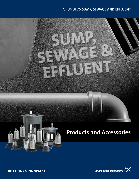### GRUNDFOS SUMP, SEWAGE AND EFFLUENT





**BE > THINK > INNOVATE >**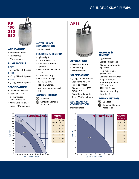### GRUNDFOS SUMP PUMPS



#### APPLICATIONS

- Basement Sumps
- Dewatering
- Water transfer

#### PUMP MODELS

#### KP150

- 1/4 hp, 115 volt, 1-phase KP250
- 1/3 hp, 115 volt, 1-phase KP350
- 1/2 hp, 115 volt, 1-phase

#### SPECIFICATIONS

- Capacity to 62 GPM
- Heads to 31 feet
- Discharge size 1-1/4" female NPT
- Power Cord 10' or 25'
- Solids 3/8" maximum



Stainless Steel

#### FEATURES & BENEFITS

- Lightweight
- Corrosion resistant
- Manual or automatic operation
- Field replaceable power cords
- Continuous duty
- Fluid Temp. Range: 32°F (0°C) min. 122°F (50°C) max.
- Minimum pumping level  $1/2"$

#### AGENCY LISTINGS

**UL** Listed **Canadian Standard** Association





- Basement Sumps
- Dewatering
- Water transfer

#### SPECIFICATIONS

- 1/2 hp, 115 volt, 1-phase
- Capacity to 78 GPM
	- Heads to 33 feet
	- Discharge size 1-1/2" female NPT
	- Power Cord 10' or 25'
	- Solids 7/16" maximum

#### MATERIALS OF **CONSTRUCTION**

Stainless Steel



#### FEATURES & **BENEFITS**

- Lightweight
- Corrosion resistant
- Manual or automatic operation
- Field replaceable power cords
- Continuous duty when fully submerged
- Fluid Temp. Range: 32°F (0°C) min. 131°F (55°C) max.
- Minimum pumping level 1-3/8"

#### AGENCY LISTINGS

Association

AP

**W** UL Listed **GF** Canadian Standard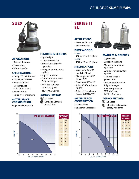### GRUNDFOS SUMP PUMPS



#### APPLICATIONS

- Basement Sumps
- Dewatering
- Water transfer

#### SPECIFICATIONS

- 1/4 hp, 115 volt, 1-phase
- Capacity to 37 GPM
- Heads to 16 feet • Discharge size 1-1/2" female NPT
- Power Cord 8'
- Solids 3/16" maximum

#### MATERIALS OF **CONSTRUCTION**

Engineered Composite

### FEATURES & BENEFITS

- Lightweight
- Corrosion resistant
- Manual or automatic operation
- Swing or vertical switch options
- Impact resistant
- Continuous duty when fully submerged
- Fluid Temp. Range: 40°F (4.4°C) min.

#### AGENCY LISTINGS

**UL** UL Listed Canadian Standard Association

20 **PERFORMANCE** PERFORMANCE IN GALLONS PER MINUTE SU<br>25 TDH 15  $2^{3}$  4 31.5 **IEAD (FEET)** HEAD (FEET) 6 28 10 8 24 10 19 SU25 12 13 5 14 7  $\Omega$ 0 5 10 15 20 25 30 35 40 U.S. GALLONS PER MINUTE

### SERIES II SU

#### APPLICATIONS

- Basement Sumps
- Water transfer

#### PUMP MODELS

#### SU252

1/4 hp, 115 volt, 1-phase SU332

1/3 hp, 115 volt, 1-phase

#### SPECIFICATIONS

- Capacity to 45 GPM
- Heads to 24 feet
- Discharge size 1-1/2" female NPT
- Power Cord 10' or 20'
- Solids 5/16" maximum (SU252)
- Solids 1/2" maximum (SU332 & SU332AV)

#### MATERIALS OF **CONSTRUCTION**



#### FEATURES & BENEFITS

- Lightweight
- Corrosion resistant
- Manual or automatic operation
- Swing or vertical switch options
- Field replaceable power cords
- Continuous duty when fully submerged
- Fluid Temp. Range: 32°F (0°C) min. 104°F (40°C) max.

#### AGENCY LISTINGS

**W** UL Listed  $\binom{m}{k}$  UL Listed to Canadian safety standards

PERFORMANCE IN GALLONS PER MINUTE



Stainless Steel Engineered Composite

120°F (48.9°C) max.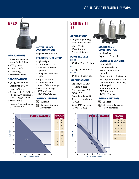### GRUNDFOS EFFLUENT PUMPS





#### APPLICATIONS

- Graywater pumping
- Septic Tanks Effluent
- STEP Systems
- Water transfer
- Dewatering
- Basement Sumps

#### SPECIFICATIONS

- 1/4 hp, 115 volt, 1-phase
- Capacity to 29 GPM
- Heads to 17 feet
- Discharge size 1-1/4" female NPT and 3/4" adjustable hose fitting (included)
- Power Cord 8'
- Solids 1/4" convertible to 1/2" maximum

#### MATERIALS OF **CONSTRUCTION**

## Engineered Composite

### FEATURES & BENEFITS

- Lightweight
- Corrosion resistant
- Manual or automatic operation
- Swing or vertical float option
- Impact resistant
- Continuous duty when fully submerged
- Fluid Temp. Range: 40°F (0°C) min. 120°F (48.9°C) max.

#### AGENCY LISTINGS

**R**uL Listed

**GR** Canadian Standard Association



## SERIES II EF

#### APPLICATIONS

- Graywater pumping
- Septic Tanks Effluent
- STEP Systems
- Water transfer
- Basement Sumps

#### PUMP MODELS EF302

- 3/10 hp, 115 volt, 1-phase EF332
- 1/3 hp, 115 volt, 1-phase EF402
- 4/10 hp, 115 volt, 1-phase

#### SPECIFICATIONS

- Capacity to 59 GPM
- Heads to 31 feet
- Discharge size 1-1/2" female NPT
- Power Cord 10' or 20'
- Solids 1/2" maximum (EF302)
- Solids 3/4" maximum (EF332 & EF402)



#### MATERIALS OF **CONSTRUCTION**

Stainless Steel Engineered Composite

#### FEATURES & BENEFITS

- Lightweight
- Corrosion resistant
- Manual or automatic operation
- Swing or vertical float option
- Field replaceable power cords
- Continuous duty when fully submerged
- Fluid Temp. Range: 32°F (0°C) min. 104°F (40°C) max.

#### AGENCY LISTINGS

UL Listed

 $\widehat{M}$  UL Listed to Canadian safety standards

PERFORMANCE IN GALLONS PER MINUTE

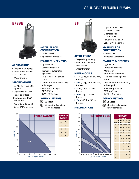### GRUNDFOS EFFLUENT PUMPS

### EF33E



#### APPLICATIONS

- Graywater pumping
- Septic Tanks Effluent
- STEP Systems
- Water transfer

#### SPECIFICATIONS

- 1/3 hp, 115 or 230 volt, 1-phase
- Capacity to 64 GPM
- Heads to 27 feet
- •Discharge size 1-1/2" female NPT
- Power Cord 10' or 20'
- Solids 3/4" maximum

#### MATERIALS OF **CONSTRUCTION**

Stainless Steel Engineered Composite

#### FEATURES & BENEFITS

- Lightweight
- Corrosion resistant
- Manual or automatic operation
- Field replaceable power cords
- Continuous duty when fully submerged
- Fluid Temp. Range: 32°F (0°C) min.
- 104°F (40°C) max.

#### AGENCY LISTINGS

**W** UL Listed

 $\mathbb{R}$  UL Listed to Canadian safety standards





#### APPLICATIONS

- Graywater pumping
- Septic Tanks Effluent
- STEP Systems
- Water transfer

#### PUMP MODELS

- EF33 1/3 hp, 115 or 230 volt, Field replaceable power 1-phase
- 1-phase
- EF75 3/4 hp, 230 volt, 1-phase
- EF100 1 hp, 230 volt, 1-phase
- EF150 1-1/2 hp, 230 volt, 1-phase

#### SPECIFICATIONS



- Heads to 90 feet
- Discharge size 2" female NPT
- Power cord 10' or 20'
- Solids 3/4" maximum

#### MATERIALS OF **CONSTRUCTION**

Stainless Steel Engineered Composite

#### FEATURES & BENEFITS

- Lightweight
- Corrosion resistant
- Manual or automatic operation
- cords
- EF50 1/2 hp, 115 or 230 volt, Continuous duty when fully submerged
	- Fluid Temp. Range: 32°F (0°C) min. 104°F (40°C) max.

#### AGENCY LISTINGS

 UL Listed  $\mathbb{R}$  UL Listed to Canadian safety standards



| <b>IN GALLONS</b><br><b>PER MINUTE</b> |          |          |          |           |           |  |  |  |
|----------------------------------------|----------|----------|----------|-----------|-----------|--|--|--|
| <b>TDH</b>                             | EF<br>33 | EF<br>50 | EF<br>75 | EF<br>100 | EF<br>150 |  |  |  |
| 5                                      | 82       | 92       | 100      | 108       | 120       |  |  |  |
| 10                                     | 70       | 82       | 92       | 102       | 114       |  |  |  |
| 15                                     | 58       | 72       | 86       | 94        | 108       |  |  |  |
| 20                                     | 40       | 60       | 76       | 88        | 102       |  |  |  |
| 25                                     | 22       | 46       | 66       | 80        | 94        |  |  |  |
| 30                                     |          | 30       | 58       | 70        | 87        |  |  |  |
| 35                                     |          | 16       | 46       | 60        | 78        |  |  |  |
| 40                                     |          |          | 36       | 52        | 70        |  |  |  |
| 45                                     |          |          | 28       | 42        | 60        |  |  |  |
| 50                                     |          |          | 20       | 34        | 50        |  |  |  |
| 55                                     |          |          |          | 26        | 42        |  |  |  |
| 60                                     |          |          |          | 20        | 34        |  |  |  |
| 65                                     |          |          |          |           | 25        |  |  |  |

PERFORMANCE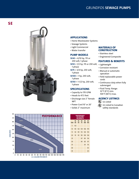**SE** 



#### 50 **PERFORMANCE** 45 40 35 **SE100** 30 **HEAD (FEET)** HEAD (FEET) SE75 25 20 SE50 15 10 5 SE40  $\Omega$ 0 10 20 30 40 50 60 70 80 90 100 110 120 130 140 150 160 170 U.S. GALLONS PER MINUTE

### SE SE SE SE SE<br>TDH 40 50 75 100 150 5 122 10 90 122 134 146 170 15 56 90 112 126 154 20 10 50 90 104 136 25 67 84 116 30 40 60 97 35 34 76 40 50 45 20 PERFORMANCE IN GALLONS PER MINUTE

#### APPLICATIONS

- Home Wastewater Systems
- Sewage Systems
- Light Commercial
- Water transfer

#### PUMP MODELS

- SE40 = 4/10 hp, 115 or
- 230 volt, 1-phase SE50 = 1/2 hp, 115 or 230 volt, • Lightweight
- 1-phase
- SE75 = 3/4 hp, 230 volt, 1-phase
- SE100 = 1 hp, 230 volt, 1-phase
- SE150 = 1-1/2 hp, 230 volt, 1-phase

#### SPECIFICATIONS

- Capacity to 170 GPM
- Heads to 47.5 feet
- Discharge size 2" female NPT
- Power Cord 10' or 20'
- Solids 2" maximum

#### MATERIALS OF **CONSTRUCTION**

- Stainless steel
- Engineered Composite

#### FEATURES & BENEFITS

- 
- Corrosion resistant
- Manual or automatic operation
- Field replaceable power cords
- Continuous duty when fully submerged
- Fluid Temp. Range: 32°F (0°C) min. 104°F (40°C) max.

#### AGENCY LISTINGS

 $\mathbb{Q}$  UL Listed to Canadian safety standards

**W** UL Listed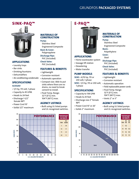### GRUNDFOS PACKAGED SYSTEMS





#### APPLICATIONS

- Laundry trays
- Bar sinks
- Drinking fountains
- Dehumidifiers
- Air conditioning condensate

#### SPECIFICATIONS SU332AV

- 
- 1/3 hp, 115 volt, 1-phase
- Capacity to 45 GPM
- Heads to 24 feet
- Discharge 1-1/2" female NPT
- Power Cord 10'
- Solids 1/2" maximum

#### MATERIALS OF **CONSTRUCTION**

#### Pump: Stainless Steel

Engineered Composite

#### Basin & Cover: Polypropylene

Discharge Pipe: PVC (included)

#### Check Valve:

PVC (included)

#### FEATURES & BENEFITS

- Lightweight
- Corrosion resistant
- Automatic operation
- Compact size: Able to put sinks where there are no drains, no need to break cement to install.
- Fluid Temp. Range: 32°F (0°C) min. 104°F (40°C) max.

#### AGENCY LISTINGS

• Built using UL listed pumps and UL recognized switches.





#### APPLICATIONS

- Home wastewater system
- Sewage lift station
- Dewatering
- Water transfer

#### PUMP MODELS

- SE40 4/10 hp, 115 or 230 volt, 1-phase
- SE50 1/2 hp, 115 or 230 volt, Automatic operation 1-phase

#### SPECIFICATIONS

- Capacity to 138 GPM
- Heads to 25 feet
- Discharge size 2" female **NPT**
- Power Cord 10' or 20'
- Solids 2" maximum

#### MATERIALS OF **CONSTRUCTION**

#### Pump: Stainless Steel

Engineered Composite Basin:

- Polyethylene
- Cover: Steel
- Discharge Pipe:
- PVC (included)
- Check Valve:
- PVC (included)

#### FEATURES & BENEFITS

- Lightweight
- Corrosion resistant
- 
- Field replaceable power cords
- Fluid Temp. Range: 32°F (0°C) min. 104°F (40°C) max.
- Vents 2" or 3"

#### AGENCY LISTINGS

• Built using UL listed pumps and UL recognized switches.

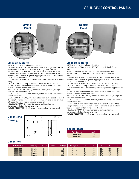### GRUNDFOS CONTROL PANELS



#### Standard Features

LISTING: Underwriters Laboratories, UL 508.

RATINGS: Model S1 rated up to 120 VAC, 1 Hp, 16 A, Single Phase, 60 Hz. Model S2 rated at 230 VAC, 1-1/2 Hp, 16 A, Single Phase, 60 Hz.

MOTOR-START CONTRACTOR: Rated for 24 FLA, Single Phase, 60 Hz. CURRENT LIMITING CIRCUIT BREAKER: 20 amp, OFF/ON switch, DIN rail mounting with thermal magnetic tripping characteristics. (Single Pole/ 120 V; Double Pole/240V)

TOGGLE SWITCH: A SPDT HOA switch with a 10 A 115V/20A 230V motor rating.

FUSE DISCONNECT: 5 amp (10,000 AIC) fuse with DIN rail mount. AUDIBLE ALARM: Panel mount with a minimum of 80 db sound pressure at 24 inches, warble tone sound.

VISUAL ALARM: NEMA 4-rated, 7/8 inch diameter, red lens, oil-tight with push-to-silence feature.

AUDIO-ALARM SILENCE RELAY: 120 VAC, automatic reset, with DIN rail mount socket base.

ALARM CIRCUIT: 120 VAC, wired separately from pump circuit, so that if the pump's internal overload switch or current-limiting circuit breaker is tripped the alarm system remains functional.

ENCLOSURE: NEMA 4X-rated, fiberglass with hinged cover.

Noncorroding. External mounting ears.

PADLOCKABLE LATCH: Constructed of noncorroding stainless steel.

#### Dimensional Drawing



#### **Dimensions**

| <b>Part Number</b>                           | <b>Panel Type</b>                                                  | <b>Model</b>                                                         | <b>Phase</b> | <b>Voltage</b>           | <b>Horsepower</b>                                                                                         |                                                        | D                                                        |                                                      |                                                      | -                                                |
|----------------------------------------------|--------------------------------------------------------------------|----------------------------------------------------------------------|--------------|--------------------------|-----------------------------------------------------------------------------------------------------------|--------------------------------------------------------|----------------------------------------------------------|------------------------------------------------------|------------------------------------------------------|--------------------------------------------------|
| 96001032<br>96001040<br>96001033<br>96001041 | <b>Simplex</b><br><b>Simplex</b><br><b>Duplex</b><br><b>Duplex</b> | S <sub>1</sub><br>S <sub>2</sub><br>D <sub>1</sub><br>D <sub>2</sub> |              | 115<br>230<br>115<br>230 | $\frac{1}{3}$ - 1<br>$\frac{1}{2}$ - 1 $\frac{1}{2}$<br>$\frac{1}{3}$ - 1<br>$1^{1}/2$<br>$\frac{1}{3}$ - | $9^{5}/16$<br>$9^{5}/16$<br>$13^{5}/16$<br>$13^{5}/16$ | $11^{5}/16$<br>$11^{5}/16$<br>$15^{5}/16$<br>$15^{5}/16$ | $11^{1}/2$<br>$11^{1}/2$<br>$15^{1}/2$<br>$15^{1}/2$ | $10^{3}/4$<br>$10^{3}/4$<br>$14^{3}/4$<br>$14^{3}/4$ | $5^{1}/2$<br>$5^{1}/2$<br>$8^{1}/4$<br>$8^{1}/4$ |



#### Standard Features

LISTING: Underwriters Laboratories, UL 508 Listed. RATINGS: Model D1 rated up to 120 VAC, 1 Hp, 16 A, Single Phase, 60 Hz.

Model D2 rated at 240 VAC, 1-1/2 Hp, 16 A, Single Phase, 60 Hz. MOTOR-START CONTRACTOR: Rated for 24 FLA, Single Phase, 60 Hz.

CURRENT LIMITING CIRCUIT BREAKER: 20 amp, OFF/ON switch, DIN rail mounting with thermal magnetic tripping characteristics. (Single Pole/ 120 V; Double Pole/240V)

TOGGLE SWITCH: A SPDT HOA switch with a 20 amp motor rating. FUSE DISCONNECT: 5 amp (10,000 AIC) fuse with DIN rail mount. DUPLEX ALTERNATOR: Cross wired style for independent lag pump function.

AUDIBLE ALARM: Panel mount with a minimum of 80 db sound pressure at 24 inches, warble tone sound.

VISUAL ALARM: NEMA 4-rated, 7/8 inch diameter, red lens, oil-tight with push-to-silence feature.

AUDIO-ALARM SILENCE RELAY: 120 VAC, automatic reset, with DIN rail mount socket base.

ALARM CIRCUIT: Wired separately from pump circuit, so that if the pump's internal overload switch or current-limiting circuit breaker is tripped the alarm system remains functional.

ENCLOSURE: NEMA 4X-rated, fiberglass with hinged cover.

Noncorroding. External mounting ears.

PADLOCKABLE LATCH: Constructed of noncorroding stainless steel.

#### Sensor Floats

| <b>Part Number</b> | Length |
|--------------------|--------|
| 96001030           | 10'    |
| 96001031           | 20'    |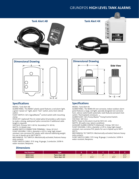### GRUNDFOS HIGH LEVEL TANK ALARMS







#### Specifications

MODEL: Tank Alert AB

ALARM PANEL: The NEMA 1 plastic panel features a red alarm light, a green "power on" light, alarm "test" switch, and a horn silence switch.

FLOAT SWITCH: SJE's SignalMaster® control switch with mounting clamp.

SPLICE KIT: (optional) This UL Listed splice kit provides a safe means to make a strong, waterproof splice connection if additional cable length is required.

VOLTAGE: Primary 120 V. 60 Hz. Secondary 9 V. 60 Hz. WATTS: 2.4 Watts max.

ALARM SWITCH CONNECTION TERMINAL: 1 Amp, 24 V.A.C. FLOAT HOUSING: 3.38 in. diameter x 4.55 in. long, high impact resistant, non-corrosive PVC plastic with internal stabilizing weight. For use in liquids up to 140°F (60°C).

MECHANICAL TILT SWITCH: Mechanically-activated, features heavyduty contacts.

FLOAT SWITCH CABLE: 15 ft. long, 16 gauge, 2 conductor, SJOW-A water resistant, Neoprene.



#### Specifications

MODEL: Tank Alert 4X

ALARM PANEL: The NEMA 4X non-corrosive, indoor-outdoor alarm panel features a large, red light, specially designed non-corrosive horn, silence switch (with automatic reset feature) and alarm test

switch. Thermoplastic enclosure. ALARM FLOAT: SJE's Pump Master® Pump/Control Switch. VOLTAGE: 120 V.A.C.

NOTE: Power to the alarm must be 120 V.A.C. only.

WATTS: 40 watts max. (alarm condition).

AUXILIARY ALARM CONTACTS (Optional): 5 Amps, 120 V.A.C. FLOAT HOUSING: 3.38 in. diameter x 4.55 in. long, high impact resistant, non-corrosive PVC plastic for use in liquids up to 140°F  $(60^{\circ}C).$ 

MECHANICAL TILT SWITCH: Mechanically-activated, features heavyduty contacts.

FLOAT SWITCH CABLE: 15 ft. long, 18 gauge, 2 conductor, SJOW-A water resistant, Neoprene.

| t Number<br>art |                      |     |                          |     |             |               |
|-----------------|----------------------|-----|--------------------------|-----|-------------|---------------|
| 96001042        | <b>Tank Alert AB</b> | C'' | $\overline{\phantom{0}}$ | A33 | -           | 0.113<br>214  |
| 96001043        | <b>Tank Alert 4X</b> | -   | 53/2<br>3710             |     | $6^{2}/5$ " | 21/22<br>14 ن |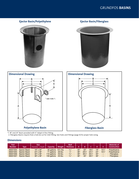### GRUNDFOS BASINS



\*1. 18" and 24" Basin provided with 4" Adapt-A-Flex Fitting.

2. Fiberglass Basins require that a hole be cut for inlet fitting. See Hubs and Fittings (page 4) for proper hole sizing.

| <b>Part</b><br>Number | <b>Type</b>   | Size<br>Diameter x Depth | Capacitv    | Weight          | Wall<br><b>Thickness</b> |     |                 |                 |     |            | <b>Materials of</b><br>Construction |
|-----------------------|---------------|--------------------------|-------------|-----------------|--------------------------|-----|-----------------|-----------------|-----|------------|-------------------------------------|
| 96001004              | Ejector Basin | $18" \times 30"$         | 30 gallons  | $10^{1/2}$ lbs. | $\frac{3}{16}$           | 30' | 22"             | $18\%$ "        | 18" | $10^{1/2}$ | Polyethylene                        |
| 96001005              | Ejector Basin | 24" x 36"                | 71 gallons  | 26 lbs.         | $\frac{1}{4}$            | 36" | $29^{1/2}$      | $24\frac{1}{2}$ | 24" | $10^{1/2}$ | Polyethylene                        |
| 96001006              | Ejector Basin | $30" \times 36"$         | 110 gallons | 35 lbs.         | $\frac{5}{16}$           | 36" | $36^{1/2}$      | $30^{1/2}$      | 30" | -          | <b>Fiberglass</b>                   |
| 96001007              | Ejector Basin | 36" x 36"                | 159 gallons | 45 lbs.         | $\frac{5}{16}$           | 36" | 40 <sup>"</sup> | $36\frac{3}{4}$ | 36" | -          | <b>Fiberglass</b>                   |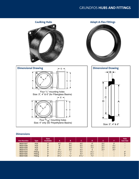### GRUNDFOS HUBS AND FITTINGS



| <b>Part Number</b> | <b>Type</b> | <b>Sizes</b><br><b>Available</b> | А                | B              |                  | D               |           |                | <b>Hole</b><br><b>Saw Size</b> |
|--------------------|-------------|----------------------------------|------------------|----------------|------------------|-----------------|-----------|----------------|--------------------------------|
| 96001507           | <b>Hub</b>  | n"                               | $4^{3}/4$ "      | $2^{5}/s$      | $4^{5}/s$        | 4"              | $2^{1/s}$ | 3"             |                                |
| 96001508           | <b>Hub</b>  | 4"                               | 6"               | $3\frac{3}{8}$ | $5\frac{7}{8}$   | $5\frac{1}{8}$  | $2^{1/2}$ | $4\frac{1}{8}$ |                                |
| 96001509           | <b>Hub</b>  | 6"                               | 8"               | $4^{5}/s$ "    | $7^{3}/^{n}$     | $7\frac{1}{8}$  | $2^{1/2}$ | $6\frac{1}{8}$ |                                |
| 96001510           | <b>Hub</b>  | 4"                               | $5\frac{3}{4}$   | $3\frac{3}{8}$ | $5\frac{7}{8}$   | 5               | $2^{1/2}$ | $3^{3}/4$ "    |                                |
| 96001504           | Fitting     | $2^n$<br>O                       | $3^{15}/_{32}$ " | $\frac{1}{4}$  | $3\frac{1}{8}$   | $4^{1}/_{32}$ " | -         | -              | 4"                             |
| 96001505           | Fitting     | 4"                               | $4^{15}/_{32}$ " | $\frac{1}{4}$  | $4\frac{1}{8}$   | $5\frac{1}{16}$ |           |                | 5"                             |
| 96001506           | Fitting     | 6"                               | $6^{23}/_{32}$ " | 9/32           | $6^{13}/_{32}$ " | $7\frac{1}{8}$  |           |                | 7"                             |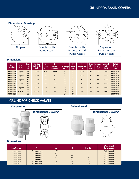### GRUNDFOS BASIN COVERS



#### **Dimensions**

| Part          | Cover   | <b>Basin</b>        | <b>Standard</b>              | A                    | в                          |                                 | D                          | E.                        | Cover          | Approx.       | <b>Materials</b> | Gasket         |
|---------------|---------|---------------------|------------------------------|----------------------|----------------------------|---------------------------------|----------------------------|---------------------------|----------------|---------------|------------------|----------------|
| <b>Number</b> | Type    | <b>Size</b><br>I.D. | <b>Bolt Circle</b><br>-Holes | Cover<br><b>O.D.</b> | <b>Pump</b><br>Access I.D. | <b>Discharge</b><br><b>Size</b> | <b>Vent</b><br><b>Size</b> | <b>Inspection</b><br>I.D. | Thick-<br>ness | Wt.<br>(lbs.) | of.<br>Const.    | & Bolt<br>Pack |
| 96001008      | simplex | 18"                 | $19^{1/4}-4$                 | $20^{1/2}$           | none                       | 2"                              | 2"                         | none                      | 7 ga.          | 17            | steel            | 96001010       |
| 96001009      |         | 18"                 |                              |                      |                            | 2"                              | 3"                         |                           |                |               |                  | 96001011       |
| 96001012      | simplex | 24"                 | $26^{1/2} - 6$               | 28"                  | 16"                        | 2"                              | 2"                         | none                      | 1/4"           | 48            | steel            | 96001014       |
| 96001013      |         | 24"                 |                              |                      |                            | 2"                              | 3"                         |                           |                |               |                  | 96001014       |
| 96001016      | simplex | 30"                 | $32\frac{1}{2} - 6$          | 34"                  | 16"                        | 2"                              | 2"                         | 8"                        | 1/4"           | 64            | steel            | 96001014       |
| 96001017      |         | 30"                 |                              |                      |                            | 2"                              | 3"                         |                           |                |               |                  | 96001014       |
| 96001020      | duplex  | 30"                 | $32\frac{1}{2} - 6$          | 34"                  | 14"                        | 2"                              | 2"                         | 8"                        | 1/4"           | 66            | steel            | 96001015       |
| 96001021      |         | 30"                 |                              |                      |                            | 2"                              | 3"                         |                           |                |               |                  | 96001015       |
| 96001024      | simplex | 36"                 | $38^{1/2} - 6$               | 40"                  | 16"                        | 2"                              | 2"                         | 8"                        | 1/4"           | 93            | steel            | 96001014       |
| 96001025      |         | 36"                 |                              |                      |                            | 2"                              | 3"                         |                           |                |               |                  | 96001014       |
| 96001028      | duplex  | 36"                 | $38^{1/2} - 6$               | 40"                  | 16"                        | 2"                              | 2"                         | 8"                        | 1/4"           | 95            | steel            | 96001015       |
| 96001029      |         | 36"                 |                              |                      |                            | 2"                              | 3"                         |                           |                |               |                  | 96001015       |

### GRUNDFOS CHECK VALVES



#### Compression **Solvent Weld**



| <b>Part Number</b>                                                               | Type                                                                                                    | А                                                                          |                                                        | Box Oty.           | <b>Materials of</b><br><b>Construction</b>                                                            |
|----------------------------------------------------------------------------------|---------------------------------------------------------------------------------------------------------|----------------------------------------------------------------------------|--------------------------------------------------------|--------------------|-------------------------------------------------------------------------------------------------------|
| 96001644<br>96001645<br>96001048<br>96001049<br>96001050<br>96001046<br>96001047 | Compression<br>Compression<br>Compression<br>Compression<br>Compression<br>Solvent Weld<br>Solvent Weld | $1\frac{1}{2}$<br>2"<br>$1\frac{1}{2}$<br>2"<br>3"<br>$1\frac{1}{2}$<br>2" | $7^{1/2}$<br>$9^{3}/^{n}$<br>14"<br>$5^{3}/^{n}$<br>6" | 8<br>2<br>12<br>12 | PVC, Buna-N<br>PVC, Buna-N<br>PVC, Buna-N<br>PVC, Buna-N<br>PVC, Buna-N<br>PVC, Buna-N<br>PVC, Buna-N |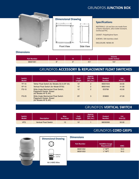### GRUNDFOS JUNCTION BOX



#### Dimensional Drawing



#### Specifications

MATERIALS: Lid and box are made from a flame retardant, ultra-violet resistant, reinforced PVC.

GASKET: Polyethylene foam.

SCREWS: 304 stainless steel.

ENCLOSURE: NEMA 4X

#### **Dimensions**

| <b>Part Number</b> |     |        |                | <b>Volume</b><br>(cubic inches) |
|--------------------|-----|--------|----------------|---------------------------------|
| 96001051           | R'' | $\sim$ | $4\frac{3}{8}$ | 157                             |

### GRUNDFOS ACCESSORY & REPLACEMENT FLOAT SWITCHES

| Switch<br><b>Model</b> | <b>Description</b>                                                                           | Cord<br>Length | Approx.<br>Ship. Wt.<br>(lbs./oz.) | Product<br><b>Number</b> | List<br>Price (\$) |
|------------------------|----------------------------------------------------------------------------------------------|----------------|------------------------------------|--------------------------|--------------------|
| <b>TF-10</b>           | Tether Float Switch (for Models SU & EF 25)                                                  | 10'            | $\overline{2}$                     | 96001643                 | 34.00              |
| $VF-10$                | Vertical Float Switch (for Model EF25)                                                       | 10'            | $\overline{2}$                     | 96001642                 | 41.00              |
| <b>FS-10</b>           | Wide Angle Mechanical Float Switch,<br>Piggyback Design, Boxed<br>(for Models KP & AP)       | 10'            | $\overline{2}$                     | <b>ID3799</b>            | 43.00              |
| $FS-25$                | <b>Wide Angle Mechanical Float Switch</b><br>Piggyback Design, Boxed<br>(for Models KP & AP) | 25'            | 3                                  | <b>ID3800</b>            | 47.00              |

## GRUNDFOS VERTICAL SWITCH

| <b>Switch</b><br><b>Model</b> | <b>Description</b>           | Max.<br><b>Run Amps</b> | Cord<br>Length | Approx.<br>Ship. Wt.<br>(lbs./oz.) | Product<br><b>Number</b> | List<br>Price (\$) |
|-------------------------------|------------------------------|-------------------------|----------------|------------------------------------|--------------------------|--------------------|
| <b>VFS</b>                    | <b>Vertical Float Switch</b> | 13                      | 10'            |                                    | 96030395                 | 50.00              |

### GRUNDFOS CORD GRIPS



# Dimensional DrawingSealing Nut Jam Nut 18-3 AWG Wire

| <b>Part Number</b> | <b>HoleWire Gauge</b><br><b>Requirement</b> | <b>AWG</b> |
|--------------------|---------------------------------------------|------------|
| 96001052           | $\frac{1}{2}$ " NPT                         | $18-3$     |
| 96001053           | $\frac{1}{2}$ " NPT                         | $16 - 3$   |